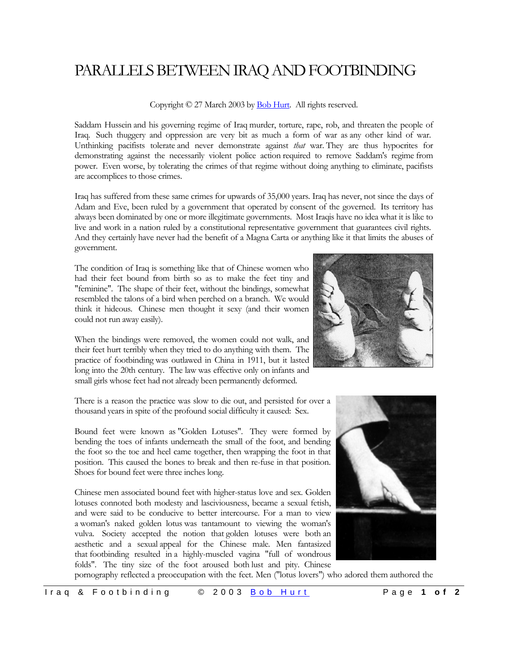## PARALLELS BETWEEN IRAQ AND FOOTBINDING

Copyright © 27 March 2003 by [Bob Hurt.](http://bobhurt.com/emailme.mv) All rights reserved.

Saddam Hussein and his governing regime of Iraq murder, torture, rape, rob, and threaten the people of Iraq. Such thuggery and oppression are very bit as much a form of war as any other kind of war. Unthinking pacifists tolerate and never demonstrate against *that* war. They are thus hypocrites for demonstrating against the necessarily violent police action required to remove Saddam's regime from power. Even worse, by tolerating the crimes of that regime without doing anything to eliminate, pacifists are accomplices to those crimes.

Iraq has suffered from these same crimes for upwards of 35,000 years. Iraq has never, not since the days of Adam and Eve, been ruled by a government that operated by consent of the governed. Its territory has always been dominated by one or more illegitimate governments. Most Iraqis have no idea what it is like to live and work in a nation ruled by a constitutional representative government that guarantees civil rights. And they certainly have never had the benefit of a Magna Carta or anything like it that limits the abuses of government.

The condition of Iraq is something like that of Chinese women who had their feet bound from birth so as to make the feet tiny and "feminine". The shape of their feet, without the bindings, somewhat resembled the talons of a bird when perched on a branch. We would think it hideous. Chinese men thought it sexy (and their women could not run away easily).

When the bindings were removed, the women could not walk, and their feet hurt terribly when they tried to do anything with them. The practice of footbinding was outlawed in China in 1911, but it lasted long into the 20th century. The law was effective only on infants and small girls whose feet had not already been permanently deformed.

There is a reason the practice was slow to die out, and persisted for over a thousand years in spite of the profound social difficulty it caused: Sex.

Bound feet were known as "Golden Lotuses". They were formed by bending the toes of infants underneath the small of the foot, and bending the foot so the toe and heel came together, then wrapping the foot in that position. This caused the bones to break and then re-fuse in that position. Shoes for bound feet were three inches long.

Chinese men associated bound feet with higher-status love and sex. Golden lotuses connoted both modesty and lasciviousness, became a sexual fetish, and were said to be conducive to better intercourse. For a man to view a woman's naked golden lotus was tantamount to viewing the woman's vulva. Society accepted the notion that golden lotuses were both an aesthetic and a sexual appeal for the Chinese male. Men fantasized that footbinding resulted in a highly-muscled vagina "full of wondrous folds". The tiny size of the foot aroused both lust and pity. Chinese



pornography reflected a preoccupation with the feet. Men ("lotus lovers") who adored them authored the